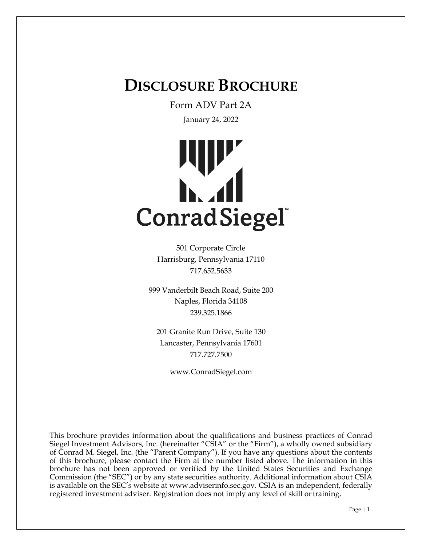# **DISCLOSURE BROCHURE**

Form ADV Part 2A

January 24, 2022



501 Corporate Circle Harrisburg, Pennsylvania 17110 717.652.5633

999 Vanderbilt Beach Road, Suite 200 Naples, Florida 34108 239.325.1866

201 Granite Run Drive, Suite 130 Lancaster, Pennsylvania 17601 717.727.7500

www.ConradSiegel.com

This brochure provides information about the qualifications and business practices of Conrad Siegel Investment Advisors, Inc. (hereinafter "CSIA" or the "Firm"), a wholly owned subsidiary of Conrad M. Siegel, Inc. (the "Parent Company"). If you have any questions about the contents of this brochure, please contact the Firm at the number listed above. The information in this brochure has not been approved or verified by the United States Securities and Exchange Commission (the "SEC") or by any state securities authority. Additional information about CSIA is available on the SEC's website at www.adviserinfo.sec.gov. CSIA is an independent, federally registered investment adviser. Registration does not imply any level of skill or training.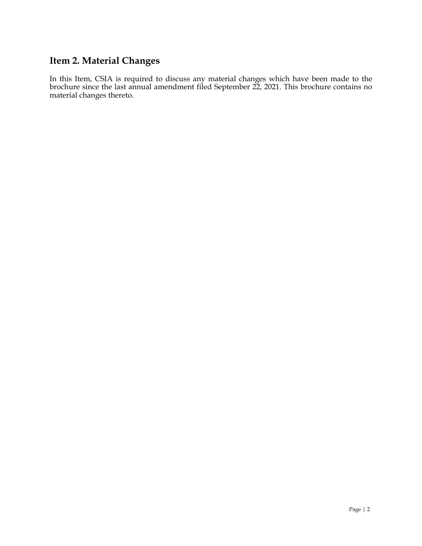## **Item 2. Material Changes**

In this Item, CSIA is required to discuss any material changes which have been made to the brochure since the last annual amendment filed September 22, 2021. This brochure contains no material changes thereto.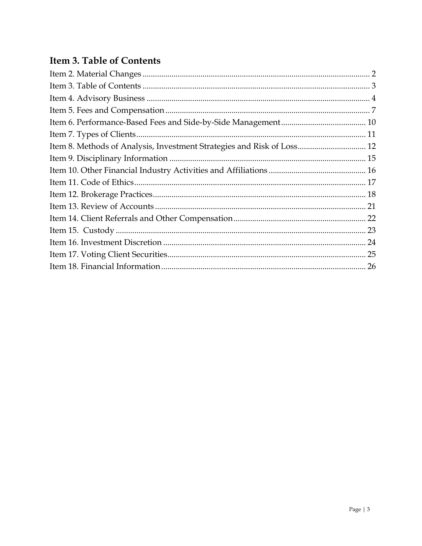# **Item 3. Table of Contents**

| Item 8. Methods of Analysis, Investment Strategies and Risk of Loss 12 |  |
|------------------------------------------------------------------------|--|
|                                                                        |  |
|                                                                        |  |
|                                                                        |  |
|                                                                        |  |
|                                                                        |  |
|                                                                        |  |
|                                                                        |  |
|                                                                        |  |
|                                                                        |  |
|                                                                        |  |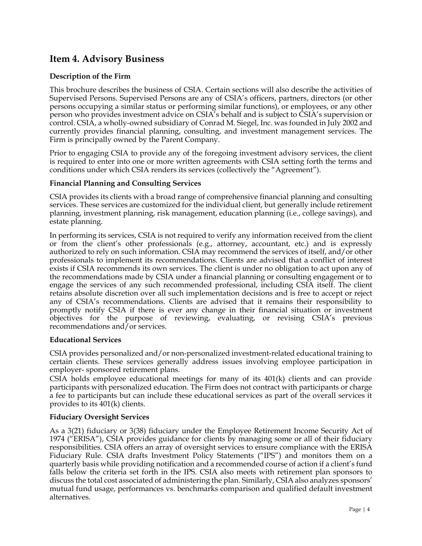### **Item 4. Advisory Business**

#### **Description of the Firm**

This brochure describes the business of CSIA. Certain sections will also describe the activities of Supervised Persons. Supervised Persons are any of CSIA's officers, partners, directors (or other persons occupying a similar status or performing similar functions), or employees, or any other person who provides investment advice on CSIA's behalf and is subject to CSIA's supervision or control. CSIA, a wholly-owned subsidiary of Conrad M. Siegel, Inc. was founded in July 2002 and currently provides financial planning, consulting, and investment management services. The Firm is principally owned by the Parent Company.

Prior to engaging CSIA to provide any of the foregoing investment advisory services, the client is required to enter into one or more written agreements with CSIA setting forth the terms and conditions under which CSIA renders its services (collectively the "Agreement").

#### **Financial Planning and Consulting Services**

CSIA provides its clients with a broad range of comprehensive financial planning and consulting services. These services are customized for the individual client, but generally include retirement planning, investment planning, risk management, education planning (i.e., college savings), and estate planning.

In performing its services, CSIA is not required to verify any information received from the client or from the client's other professionals (e.g., attorney, accountant, etc.) and is expressly authorized to rely on such information. CSIA may recommend the services of itself, and/or other professionals to implement its recommendations. Clients are advised that a conflict of interest exists if CSIA recommends its own services. The client is under no obligation to act upon any of the recommendations made by CSIA under a financial planning or consulting engagement or to engage the services of any such recommended professional, including CSIA itself. The client retains absolute discretion over all such implementation decisions and is free to accept or reject any of CSIA's recommendations. Clients are advised that it remains their responsibility to promptly notify CSIA if there is ever any change in their financial situation or investment objectives for the purpose of reviewing, evaluating, or revising CSIA's previous recommendations and/or services.

#### **Educational Services**

CSIA provides personalized and/or non-personalized investment-related educational training to certain clients. These services generally address issues involving employee participation in employer- sponsored retirement plans.

CSIA holds employee educational meetings for many of its 401(k) clients and can provide participants with personalized education. The Firm does not contract with participants or charge a fee to participants but can include these educational services as part of the overall services it provides to its 401(k) clients.

#### **Fiduciary Oversight Services**

As a 3(21) fiduciary or 3(38) fiduciary under the Employee Retirement Income Security Act of 1974 ("ERISA"), CSIA provides guidance for clients by managing some or all of their fiduciary responsibilities. CSIA offers an array of oversight services to ensure compliance with the ERISA Fiduciary Rule. CSIA drafts Investment Policy Statements ("IPS") and monitors them on a quarterly basis while providing notification and a recommended course of action if a client's fund falls below the criteria set forth in the IPS. CSIA also meets with retirement plan sponsors to discuss the total cost associated of administering the plan. Similarly, CSIA also analyzes sponsors' mutual fund usage, performances vs. benchmarks comparison and qualified default investment alternatives.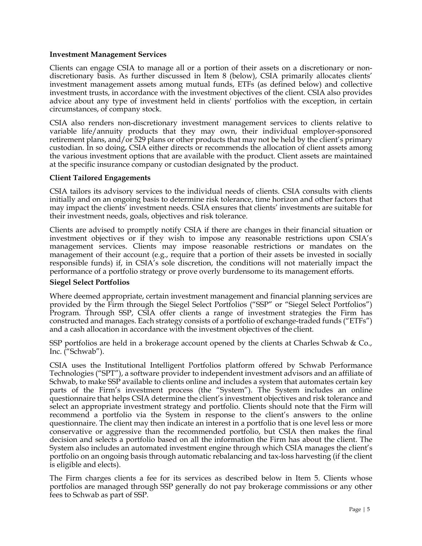#### **Investment Management Services**

Clients can engage CSIA to manage all or a portion of their assets on a discretionary or nondiscretionary basis. As further discussed in Item 8 (below), CSIA primarily allocates clients' investment management assets among mutual funds, ETFs (as defined below) and collective investment trusts, in accordance with the investment objectives of the client. CSIA also provides advice about any type of investment held in clients' portfolios with the exception, in certain circumstances, of company stock.

CSIA also renders non-discretionary investment management services to clients relative to variable life/annuity products that they may own, their individual employer-sponsored retirement plans, and/or 529 plans or other products that may not be held by the client's primary custodian. In so doing, CSIA either directs or recommends the allocation of client assets among the various investment options that are available with the product. Client assets are maintained at the specific insurance company or custodian designated by the product.

#### **Client Tailored Engagements**

CSIA tailors its advisory services to the individual needs of clients. CSIA consults with clients initially and on an ongoing basis to determine risk tolerance, time horizon and other factors that may impact the clients' investment needs. CSIA ensures that clients' investments are suitable for their investment needs, goals, objectives and risk tolerance.

Clients are advised to promptly notify CSIA if there are changes in their financial situation or investment objectives or if they wish to impose any reasonable restrictions upon CSIA's management services. Clients may impose reasonable restrictions or mandates on the management of their account (e.g., require that a portion of their assets be invested in socially responsible funds) if, in CSIA's sole discretion, the conditions will not materially impact the performance of a portfolio strategy or prove overly burdensome to its management efforts.

#### **Siegel Select Portfolios**

Where deemed appropriate, certain investment management and financial planning services are provided by the Firm through the Siegel Select Portfolios ("SSP" or "Siegel Select Portfolios") Program. Through SSP, CSIA offer clients a range of investment strategies the Firm has constructed and manages. Each strategy consists of a portfolio of exchange-traded funds ("ETFs") and a cash allocation in accordance with the investment objectives of the client.

SSP portfolios are held in a brokerage account opened by the clients at Charles Schwab & Co., Inc. ("Schwab").

CSIA uses the Institutional Intelligent Portfolios platform offered by Schwab Performance Technologies ("SPT"), a software provider to independent investment advisors and an affiliate of Schwab, to make SSP available to clients online and includes a system that automates certain key parts of the Firm's investment process (the "System"). The System includes an online questionnaire that helps CSIA determine the client's investment objectives and risk tolerance and select an appropriate investment strategy and portfolio. Clients should note that the Firm will recommend a portfolio via the System in response to the client's answers to the online questionnaire. The client may then indicate an interest in a portfolio that is one level less or more conservative or aggressive than the recommended portfolio, but CSIA then makes the final decision and selects a portfolio based on all the information the Firm has about the client. The System also includes an automated investment engine through which CSIA manages the client's portfolio on an ongoing basis through automatic rebalancing and tax-loss harvesting (if the client is eligible and elects).

The Firm charges clients a fee for its services as described below in Item 5. Clients whose portfolios are managed through SSP generally do not pay brokerage commissions or any other fees to Schwab as part of SSP.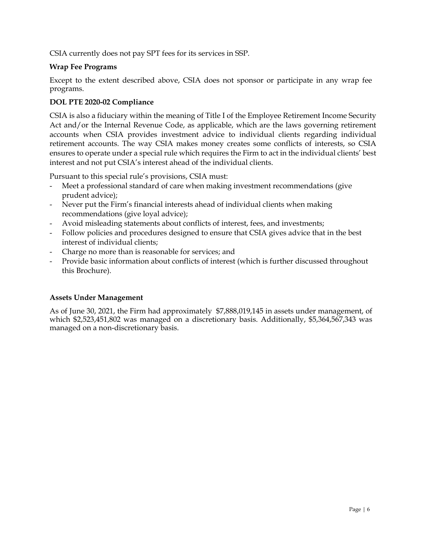CSIA currently does not pay SPT fees for its services in SSP.

#### **Wrap Fee Programs**

Except to the extent described above, CSIA does not sponsor or participate in any wrap fee programs.

#### **DOL PTE 2020-02 Compliance**

CSIA is also a fiduciary within the meaning of Title I of the Employee Retirement Income Security Act and/or the Internal Revenue Code, as applicable, which are the laws governing retirement accounts when CSIA provides investment advice to individual clients regarding individual retirement accounts. The way CSIA makes money creates some conflicts of interests, so CSIA ensures to operate under a special rule which requires the Firm to act in the individual clients' best interest and not put CSIA's interest ahead of the individual clients.

Pursuant to this special rule's provisions, CSIA must:

- Meet a professional standard of care when making investment recommendations (give prudent advice);
- Never put the Firm's financial interests ahead of individual clients when making recommendations (give loyal advice);
- Avoid misleading statements about conflicts of interest, fees, and investments;
- Follow policies and procedures designed to ensure that CSIA gives advice that in the best interest of individual clients;
- Charge no more than is reasonable for services; and
- Provide basic information about conflicts of interest (which is further discussed throughout this Brochure).

#### **Assets Under Management**

As of June 30, 2021, the Firm had approximately \$7,888,019,145 in assets under management, of which \$2,523,451,802 was managed on a discretionary basis. Additionally, \$5,364,567,343 was managed on a non-discretionary basis.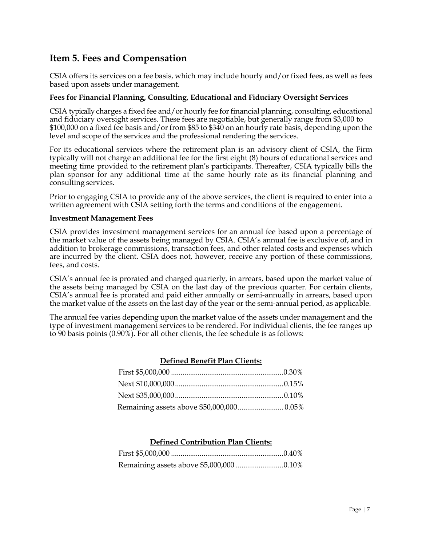### **Item 5. Fees and Compensation**

CSIA offers its services on a fee basis, which may include hourly and/or fixed fees, as well as fees based upon assets under management.

#### **Fees for Financial Planning, Consulting, Educational and Fiduciary Oversight Services**

CSIA typically charges a fixed fee and/or hourly fee for financial planning, consulting, educational and fiduciary oversight services. These fees are negotiable, but generally range from \$3,000 to \$100,000 on a fixed fee basis and/or from \$85 to \$340 on an hourly rate basis, depending upon the level and scope of the services and the professional rendering the services.

For its educational services where the retirement plan is an advisory client of CSIA, the Firm typically will not charge an additional fee for the first eight (8) hours of educational services and meeting time provided to the retirement plan's participants. Thereafter, CSIA typically bills the plan sponsor for any additional time at the same hourly rate as its financial planning and consulting services.

Prior to engaging CSIA to provide any of the above services, the client is required to enter into a written agreement with CSIA setting forth the terms and conditions of the engagement.

#### **Investment Management Fees**

CSIA provides investment management services for an annual fee based upon a percentage of the market value of the assets being managed by CSIA. CSIA's annual fee is exclusive of, and in addition to brokerage commissions, transaction fees, and other related costs and expenses which are incurred by the client. CSIA does not, however, receive any portion of these commissions, fees, and costs.

CSIA's annual fee is prorated and charged quarterly, in arrears, based upon the market value of the assets being managed by CSIA on the last day of the previous quarter. For certain clients, CSIA's annual fee is prorated and paid either annually or semi-annually in arrears, based upon the market value of the assets on the last day of the year or the semi-annual period, as applicable.

The annual fee varies depending upon the market value of the assets under management and the type of investment management services to be rendered. For individual clients, the fee ranges up to 90 basis points (0.90%). For all other clients, the fee schedule is as follows:

#### **Defined Benefit Plan Clients:**

| Remaining assets above \$50,000,000 0.05% |  |
|-------------------------------------------|--|

#### **Defined Contribution Plan Clients:**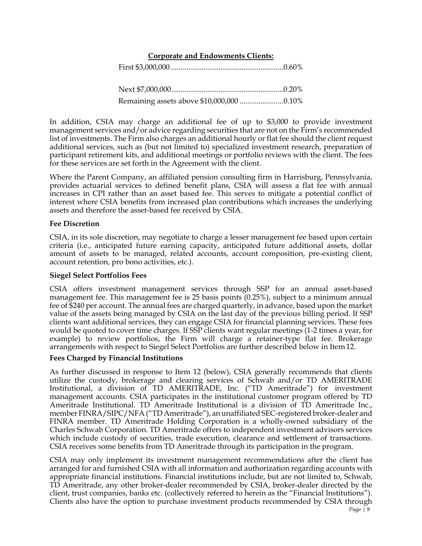#### **Corporate and Endowments Clients:**

First \$3,000,000 ........................................................... 0.60%

Next \$7,000,000 ........................................................... 0.20% Remaining assets above \$10,000,000 ....................... 0.10%

In addition, CSIA may charge an additional fee of up to \$3,000 to provide investment management services and/or advice regarding securities that are not on the Firm's recommended list of investments. The Firm also charges an additional hourly or flat fee should the client request additional services, such as (but not limited to) specialized investment research, preparation of participant retirement kits, and additional meetings or portfolio reviews with the client. The fees for these services are set forth in the Agreement with the client.

Where the Parent Company, an affiliated pension consulting firm in Harrisburg, Pennsylvania, provides actuarial services to defined benefit plans, CSIA will assess a flat fee with annual increases in CPI rather than an asset based fee. This serves to mitigate a potential conflict of interest where CSIA benefits from increased plan contributions which increases the underlying assets and therefore the asset-based fee received by CSIA.

#### **Fee Discretion**

CSIA, in its sole discretion, may negotiate to charge a lesser management fee based upon certain criteria (i.e., anticipated future earning capacity, anticipated future additional assets, dollar amount of assets to be managed, related accounts, account composition, pre-existing client, account retention, pro bono activities, etc.).

#### **Siegel Select Portfolios Fees**

CSIA offers investment management services through SSP for an annual asset-based management fee. This management fee is 25 basis points (0.25%), subject to a minimum annual fee of \$240 per account. The annual fees are charged quarterly, in advance, based upon the market value of the assets being managed by CSIA on the last day of the previous billing period. If SSP clients want additional services, they can engage CSIA for financial planning services. These fees would be quoted to cover time charges. If SSP clients want regular meetings (1-2 times a year, for example) to review portfolios, the Firm will charge a retainer-type flat fee. Brokerage arrangements with respect to Siegel Select Portfolios are further described below in Item 12.

#### **Fees Charged by Financial Institutions**

As further discussed in response to Item 12 (below), CSIA generally recommends that clients utilize the custody, brokerage and clearing services of Schwab and/or TD AMERITRADE Institutional, a division of TD AMERITRADE, Inc. ("TD Ameritrade") for investment management accounts. CSIA participates in the institutional customer program offered by TD Ameritrade Institutional. TD Ameritrade Institutional is a division of TD Ameritrade Inc., member FINRA/SIPC/NFA ("TD Ameritrade"), an unaffiliated SEC-registered broker-dealer and FINRA member. TD Ameritrade Holding Corporation is a wholly-owned subsidiary of the Charles Schwab Corporation. TD Ameritrade offers to independent investment advisors services which include custody of securities, trade execution, clearance and settlement of transactions. CSIA receives some benefits from TD Ameritrade through its participation in the program.

CSIA may only implement its investment management recommendations after the client has arranged for and furnished CSIA with all information and authorization regarding accounts with appropriate financial institutions. Financial institutions include, but are not limited to, Schwab, TD Ameritrade, any other broker-dealer recommended by CSIA, broker-dealer directed by the client, trust companies, banks etc. (collectively referred to herein as the "Financial Institutions"). Clients also have the option to purchase investment products recommended by CSIA through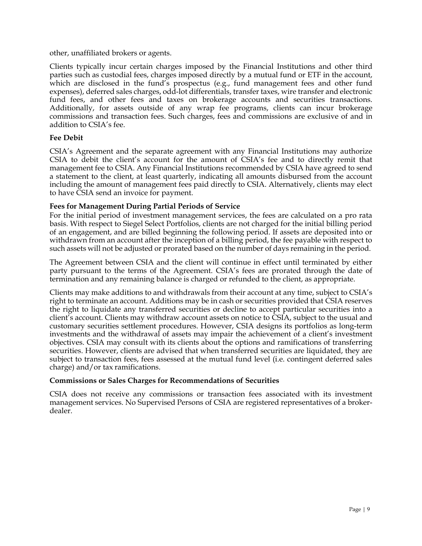other, unaffiliated brokers or agents.

Clients typically incur certain charges imposed by the Financial Institutions and other third parties such as custodial fees, charges imposed directly by a mutual fund or ETF in the account, which are disclosed in the fund's prospectus (e.g., fund management fees and other fund expenses), deferred sales charges, odd-lot differentials, transfer taxes, wire transfer and electronic fund fees, and other fees and taxes on brokerage accounts and securities transactions. Additionally, for assets outside of any wrap fee programs, clients can incur brokerage commissions and transaction fees. Such charges, fees and commissions are exclusive of and in addition to CSIA's fee.

#### **Fee Debit**

CSIA's Agreement and the separate agreement with any Financial Institutions may authorize CSIA to debit the client's account for the amount of CSIA's fee and to directly remit that management fee to CSIA. Any Financial Institutions recommended by CSIA have agreed to send a statement to the client, at least quarterly, indicating all amounts disbursed from the account including the amount of management fees paid directly to CSIA. Alternatively, clients may elect to have CSIA send an invoice for payment.

#### **Fees for Management During Partial Periods of Service**

For the initial period of investment management services, the fees are calculated on a pro rata basis. With respect to Siegel Select Portfolios, clients are not charged for the initial billing period of an engagement, and are billed beginning the following period. If assets are deposited into or withdrawn from an account after the inception of a billing period, the fee payable with respect to such assets will not be adjusted or prorated based on the number of days remaining in the period.

The Agreement between CSIA and the client will continue in effect until terminated by either party pursuant to the terms of the Agreement. CSIA's fees are prorated through the date of termination and any remaining balance is charged or refunded to the client, as appropriate.

Clients may make additions to and withdrawals from their account at any time, subject to CSIA's right to terminate an account. Additions may be in cash or securities provided that CSIA reserves the right to liquidate any transferred securities or decline to accept particular securities into a client's account. Clients may withdraw account assets on notice to CSIA, subject to the usual and customary securities settlement procedures. However, CSIA designs its portfolios as long-term investments and the withdrawal of assets may impair the achievement of a client's investment objectives. CSIA may consult with its clients about the options and ramifications of transferring securities. However, clients are advised that when transferred securities are liquidated, they are subject to transaction fees, fees assessed at the mutual fund level (i.e. contingent deferred sales charge) and/or tax ramifications.

#### **Commissions or Sales Charges for Recommendations of Securities**

CSIA does not receive any commissions or transaction fees associated with its investment management services. No Supervised Persons of CSIA are registered representatives of a brokerdealer.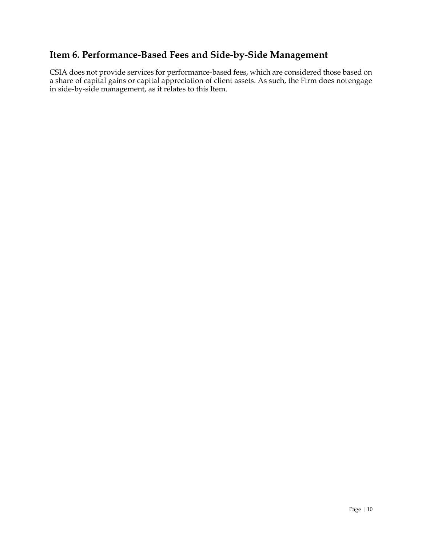# **Item 6. Performance-Based Fees and Side-by-Side Management**

CSIA does not provide services for performance-based fees, which are considered those based on a share of capital gains or capital appreciation of client assets. As such, the Firm does not engage in side-by-side management, as it relates to this Item.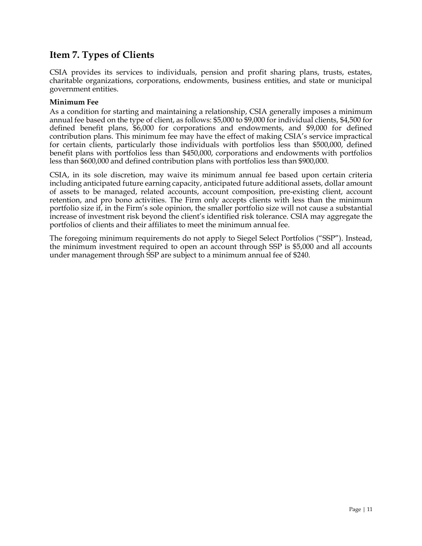### **Item 7. Types of Clients**

CSIA provides its services to individuals, pension and profit sharing plans, trusts, estates, charitable organizations, corporations, endowments, business entities, and state or municipal government entities.

#### **Minimum Fee**

As a condition for starting and maintaining a relationship, CSIA generally imposes a minimum annual fee based on the type of client, as follows: \$5,000 to \$9,000 for individual clients, \$4,500 for defined benefit plans, \$6,000 for corporations and endowments, and \$9,000 for defined contribution plans. This minimum fee may have the effect of making CSIA's service impractical for certain clients, particularly those individuals with portfolios less than \$500,000, defined benefit plans with portfolios less than \$450,000, corporations and endowments with portfolios less than \$600,000 and defined contribution plans with portfolios less than \$900,000.

CSIA, in its sole discretion, may waive its minimum annual fee based upon certain criteria including anticipated future earning capacity, anticipated future additional assets, dollar amount of assets to be managed, related accounts, account composition, pre-existing client, account retention, and pro bono activities. The Firm only accepts clients with less than the minimum portfolio size if, in the Firm's sole opinion, the smaller portfolio size will not cause a substantial increase of investment risk beyond the client's identified risk tolerance. CSIA may aggregate the portfolios of clients and their affiliates to meet the minimum annual fee.

The foregoing minimum requirements do not apply to Siegel Select Portfolios ("SSP"). Instead, the minimum investment required to open an account through SSP is \$5,000 and all accounts under management through SSP are subject to a minimum annual fee of \$240.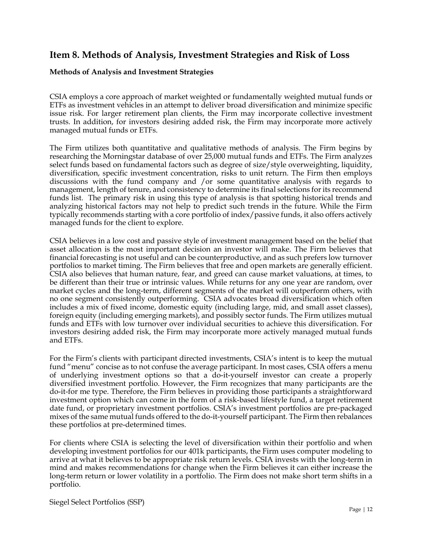### **Item 8. Methods of Analysis, Investment Strategies and Risk of Loss**

#### **Methods of Analysis and Investment Strategies**

CSIA employs a core approach of market weighted or fundamentally weighted mutual funds or ETFs as investment vehicles in an attempt to deliver broad diversification and minimize specific issue risk. For larger retirement plan clients, the Firm may incorporate collective investment trusts. In addition, for investors desiring added risk, the Firm may incorporate more actively managed mutual funds or ETFs.

The Firm utilizes both quantitative and qualitative methods of analysis. The Firm begins by researching the Morningstar database of over 25,000 mutual funds and ETFs. The Firm analyzes select funds based on fundamental factors such as degree of size/style overweighting, liquidity, diversification, specific investment concentration, risks to unit return. The Firm then employs discussions with the fund company and /or some quantitative analysis with regards to management, length of tenure, and consistency to determine its final selections for its recommend funds list. The primary risk in using this type of analysis is that spotting historical trends and analyzing historical factors may not help to predict such trends in the future. While the Firm typically recommends starting with a core portfolio of index/passive funds, it also offers actively managed funds for the client to explore.

CSIA believes in a low cost and passive style of investment management based on the belief that asset allocation is the most important decision an investor will make. The Firm believes that financial forecasting is not useful and can be counterproductive, and as such prefers low turnover portfolios to market timing. The Firm believes that free and open markets are generally efficient. CSIA also believes that human nature, fear, and greed can cause market valuations, at times, to be different than their true or intrinsic values. While returns for any one year are random, over market cycles and the long-term, different segments of the market will outperform others, with no one segment consistently outperforming. CSIA advocates broad diversification which often includes a mix of fixed income, domestic equity (including large, mid, and small asset classes), foreign equity (including emerging markets), and possibly sector funds. The Firm utilizes mutual funds and ETFs with low turnover over individual securities to achieve this diversification. For investors desiring added risk, the Firm may incorporate more actively managed mutual funds and ETFs.

For the Firm's clients with participant directed investments, CSIA's intent is to keep the mutual fund "menu" concise as to not confuse the average participant. In most cases, CSIA offers a menu of underlying investment options so that a do-it-yourself investor can create a properly diversified investment portfolio. However, the Firm recognizes that many participants are the do-it-for me type. Therefore, the Firm believes in providing those participants a straightforward investment option which can come in the form of a risk-based lifestyle fund, a target retirement date fund, or proprietary investment portfolios. CSIA's investment portfolios are pre-packaged mixes of the same mutual funds offered to the do-it-yourself participant. The Firm then rebalances these portfolios at pre-determined times.

For clients where CSIA is selecting the level of diversification within their portfolio and when developing investment portfolios for our 401k participants, the Firm uses computer modeling to arrive at what it believes to be appropriate risk return levels. CSIA invests with the long-term in mind and makes recommendations for change when the Firm believes it can either increase the long-term return or lower volatility in a portfolio. The Firm does not make short term shifts in a portfolio.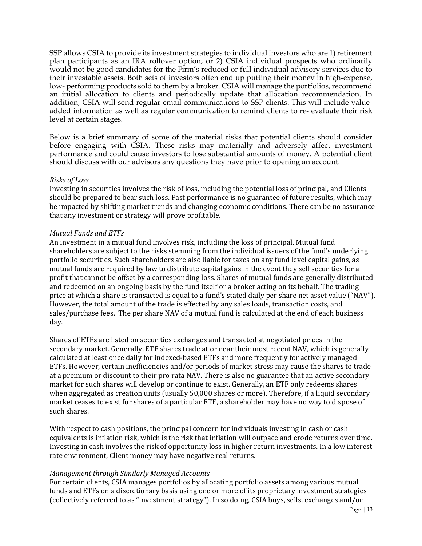SSP allows CSIA to provide its investment strategies to individual investors who are 1) retirement plan participants as an IRA rollover option; or 2) CSIA individual prospects who ordinarily would not be good candidates for the Firm's reduced or full individual advisory services due to their investable assets. Both sets of investors often end up putting their money in high-expense, low- performing products sold to them by a broker. CSIA will manage the portfolios, recommend an initial allocation to clients and periodically update that allocation recommendation. In addition, CSIA will send regular email communications to SSP clients. This will include valueadded information as well as regular communication to remind clients to re- evaluate their risk level at certain stages.

Below is a brief summary of some of the material risks that potential clients should consider before engaging with CSIA. These risks may materially and adversely affect investment performance and could cause investors to lose substantial amounts of money. A potential client should discuss with our advisors any questions they have prior to opening an account.

#### *Risks of Loss*

Investing in securities involves the risk of loss, including the potential loss of principal, and Clients should be prepared to bear such loss. Past performance is no guarantee of future results, which may be impacted by shifting market trends and changing economic conditions. There can be no assurance that any investment or strategy will prove profitable.

#### *Mutual Funds and ETFs*

An investment in a mutual fund involves risk, including the loss of principal. Mutual fund shareholders are subject to the risks stemming from the individual issuers of the fund's underlying portfolio securities. Such shareholders are also liable for taxes on any fund level capital gains, as mutual funds are required by law to distribute capital gains in the event they sell securities for a profit that cannot be offset by a corresponding loss. Shares of mutual funds are generally distributed and redeemed on an ongoing basis by the fund itself or a broker acting on its behalf. The trading price at which a share is transacted is equal to a fund's stated daily per share net asset value ("NAV"). However, the total amount of the trade is effected by any sales loads, transaction costs, and sales/purchase fees. The per share NAV of a mutual fund is calculated at the end of each business day.

Shares of ETFs are listed on securities exchanges and transacted at negotiated prices in the secondary market. Generally, ETF shares trade at or near their most recent NAV, which is generally calculated at least once daily for indexed-based ETFs and more frequently for actively managed ETFs. However, certain inefficiencies and/or periods of market stress may cause the shares to trade at a premium or discount to their pro rata NAV. There is also no guarantee that an active secondary market for such shares will develop or continue to exist. Generally, an ETF only redeems shares when aggregated as creation units (usually 50,000 shares or more). Therefore, if a liquid secondary market ceases to exist for shares of a particular ETF, a shareholder may have no way to dispose of such shares.

With respect to cash positions, the principal concern for individuals investing in cash or cash equivalents is inflation risk, which is the risk that inflation will outpace and erode returns over time. Investing in cash involves the risk of opportunity loss in higher return investments. In a low interest rate environment, Client money may have negative real returns.

#### *Management through Similarly Managed Accounts*

For certain clients, CSIA manages portfolios by allocating portfolio assets among various mutual funds and ETFs on a discretionary basis using one or more of its proprietary investment strategies (collectively referred to as "investment strategy"). In so doing, CSIA buys, sells, exchanges and/or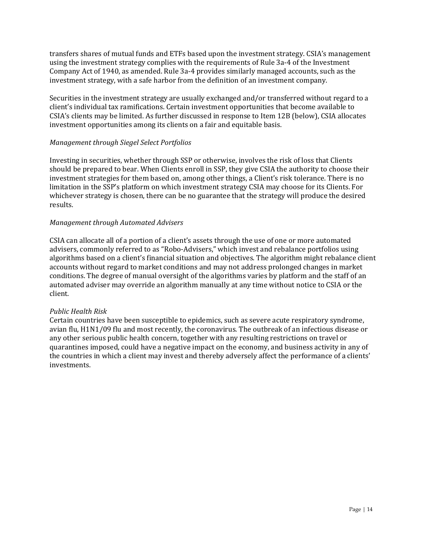transfers shares of mutual funds and ETFs based upon the investment strategy. CSIA's management using the investment strategy complies with the requirements of Rule 3a-4 of the Investment Company Act of 1940, as amended. Rule 3a-4 provides similarly managed accounts, such as the investment strategy, with a safe harbor from the definition of an investment company.

Securities in the investment strategy are usually exchanged and/or transferred without regard to a client's individual tax ramifications. Certain investment opportunities that become available to CSIA's clients may be limited. As further discussed in response to Item 12B (below), CSIA allocates investment opportunities among its clients on a fair and equitable basis.

#### *Management through Siegel Select Portfolios*

Investing in securities, whether through SSP or otherwise, involves the risk of loss that Clients should be prepared to bear. When Clients enroll in SSP, they give CSIA the authority to choose their investment strategies for them based on, among other things, a Client's risk tolerance. There is no limitation in the SSP's platform on which investment strategy CSIA may choose for its Clients. For whichever strategy is chosen, there can be no guarantee that the strategy will produce the desired results.

#### *Management through Automated Advisers*

CSIA can allocate all of a portion of a client's assets through the use of one or more automated advisers, commonly referred to as "Robo-Advisers," which invest and rebalance portfolios using algorithms based on a client's financial situation and objectives. The algorithm might rebalance client accounts without regard to market conditions and may not address prolonged changes in market conditions. The degree of manual oversight of the algorithms varies by platform and the staff of an automated adviser may override an algorithm manually at any time without notice to CSIA or the client.

#### *Public Health Risk*

Certain countries have been susceptible to epidemics, such as severe acute respiratory syndrome, avian flu, H1N1/09 flu and most recently, the coronavirus. The outbreak of an infectious disease or any other serious public health concern, together with any resulting restrictions on travel or quarantines imposed, could have a negative impact on the economy, and business activity in any of the countries in which a client may invest and thereby adversely affect the performance of a clients' investments.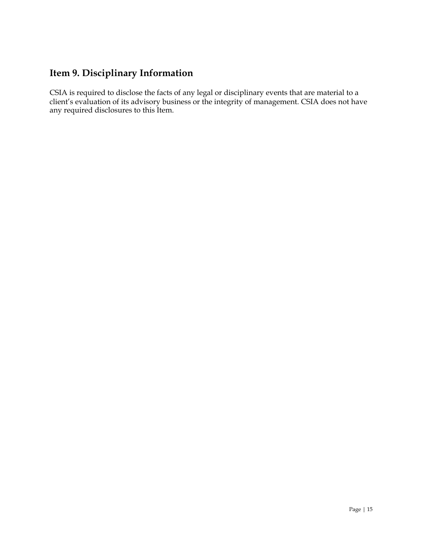# **Item 9. Disciplinary Information**

CSIA is required to disclose the facts of any legal or disciplinary events that are material to a client's evaluation of its advisory business or the integrity of management. CSIA does not have any required disclosures to this Item.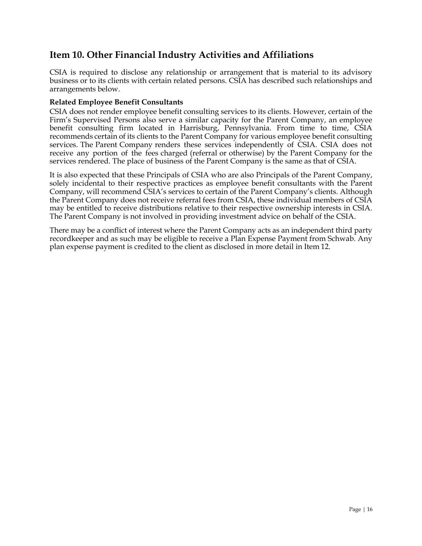### **Item 10. Other Financial Industry Activities and Affiliations**

CSIA is required to disclose any relationship or arrangement that is material to its advisory business or to its clients with certain related persons. CSIA has described such relationships and arrangements below.

#### **Related Employee Benefit Consultants**

CSIA does not render employee benefit consulting services to its clients. However, certain of the Firm's Supervised Persons also serve a similar capacity for the Parent Company, an employee benefit consulting firm located in Harrisburg, Pennsylvania. From time to time, CSIA recommends certain of its clients to the Parent Company for various employee benefit consulting services. The Parent Company renders these services independently of CSIA. CSIA does not receive any portion of the fees charged (referral or otherwise) by the Parent Company for the services rendered. The place of business of the Parent Company is the same as that of CSIA.

It is also expected that these Principals of CSIA who are also Principals of the Parent Company, solely incidental to their respective practices as employee benefit consultants with the Parent Company, will recommend CSIA's services to certain of the Parent Company's clients. Although the Parent Company does not receive referral fees from CSIA, these individual members of CSIA may be entitled to receive distributions relative to their respective ownership interests in CSIA. The Parent Company is not involved in providing investment advice on behalf of the CSIA.

There may be a conflict of interest where the Parent Company acts as an independent third party recordkeeper and as such may be eligible to receive a Plan Expense Payment from Schwab. Any plan expense payment is credited to the client as disclosed in more detail in Item 12.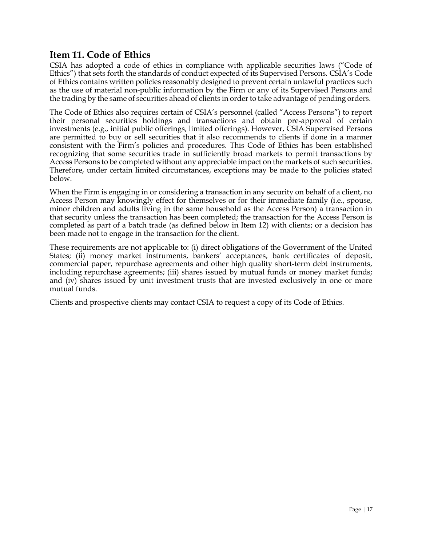### **Item 11. Code of Ethics**

CSIA has adopted a code of ethics in compliance with applicable securities laws ("Code of Ethics") that sets forth the standards of conduct expected of its Supervised Persons. CSIA's Code of Ethics contains written policies reasonably designed to prevent certain unlawful practices such as the use of material non-public information by the Firm or any of its Supervised Persons and the trading by the same of securities ahead of clients in order to take advantage of pending orders.

The Code of Ethics also requires certain of CSIA's personnel (called "Access Persons") to report their personal securities holdings and transactions and obtain pre-approval of certain investments (e.g., initial public offerings, limited offerings). However, CSIA Supervised Persons are permitted to buy or sell securities that it also recommends to clients if done in a manner consistent with the Firm's policies and procedures. This Code of Ethics has been established recognizing that some securities trade in sufficiently broad markets to permit transactions by Access Persons to be completed without any appreciable impact on the markets of such securities. Therefore, under certain limited circumstances, exceptions may be made to the policies stated below.

When the Firm is engaging in or considering a transaction in any security on behalf of a client, no Access Person may knowingly effect for themselves or for their immediate family (i.e., spouse, minor children and adults living in the same household as the Access Person) a transaction in that security unless the transaction has been completed; the transaction for the Access Person is completed as part of a batch trade (as defined below in Item 12) with clients; or a decision has been made not to engage in the transaction for the client.

These requirements are not applicable to: (i) direct obligations of the Government of the United States; (ii) money market instruments, bankers' acceptances, bank certificates of deposit, commercial paper, repurchase agreements and other high quality short-term debt instruments, including repurchase agreements; (iii) shares issued by mutual funds or money market funds; and (iv) shares issued by unit investment trusts that are invested exclusively in one or more mutual funds.

Clients and prospective clients may contact CSIA to request a copy of its Code of Ethics.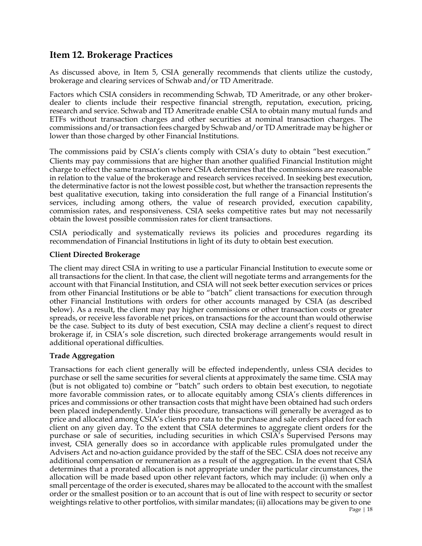### **Item 12. Brokerage Practices**

As discussed above, in Item 5, CSIA generally recommends that clients utilize the custody, brokerage and clearing services of Schwab and/or TD Ameritrade.

Factors which CSIA considers in recommending Schwab, TD Ameritrade, or any other brokerdealer to clients include their respective financial strength, reputation, execution, pricing, research and service. Schwab and TD Ameritrade enable CSIA to obtain many mutual funds and ETFs without transaction charges and other securities at nominal transaction charges. The commissions and/or transaction fees charged by Schwab and/or TD Ameritrade may be higher or lower than those charged by other Financial Institutions.

The commissions paid by CSIA's clients comply with CSIA's duty to obtain "best execution." Clients may pay commissions that are higher than another qualified Financial Institution might charge to effect the same transaction where CSIA determines that the commissions are reasonable in relation to the value of the brokerage and research services received. In seeking best execution, the determinative factor is not the lowest possible cost, but whether the transaction represents the best qualitative execution, taking into consideration the full range of a Financial Institution's services, including among others, the value of research provided, execution capability, commission rates, and responsiveness. CSIA seeks competitive rates but may not necessarily obtain the lowest possible commission rates for client transactions.

CSIA periodically and systematically reviews its policies and procedures regarding its recommendation of Financial Institutions in light of its duty to obtain best execution.

#### **Client Directed Brokerage**

The client may direct CSIA in writing to use a particular Financial Institution to execute some or all transactions for the client. In that case, the client will negotiate terms and arrangements for the account with that Financial Institution, and CSIA will not seek better execution services or prices from other Financial Institutions or be able to "batch" client transactions for execution through other Financial Institutions with orders for other accounts managed by CSIA (as described below). As a result, the client may pay higher commissions or other transaction costs or greater spreads, or receive less favorable net prices, on transactions for the account than would otherwise be the case. Subject to its duty of best execution, CSIA may decline a client's request to direct brokerage if, in CSIA's sole discretion, such directed brokerage arrangements would result in additional operational difficulties.

#### **Trade Aggregation**

Transactions for each client generally will be effected independently, unless CSIA decides to purchase or sell the same securities for several clients at approximately the same time. CSIA may (but is not obligated to) combine or "batch" such orders to obtain best execution, to negotiate more favorable commission rates, or to allocate equitably among CSIA's clients differences in prices and commissions or other transaction costs that might have been obtained had such orders been placed independently. Under this procedure, transactions will generally be averaged as to price and allocated among CSIA's clients pro rata to the purchase and sale orders placed for each client on any given day. To the extent that CSIA determines to aggregate client orders for the purchase or sale of securities, including securities in which CSIA's Supervised Persons may invest, CSIA generally does so in accordance with applicable rules promulgated under the Advisers Act and no-action guidance provided by the staff of the SEC. CSIA does not receive any additional compensation or remuneration as a result of the aggregation. In the event that CSIA determines that a prorated allocation is not appropriate under the particular circumstances, the allocation will be made based upon other relevant factors, which may include: (i) when only a small percentage of the order is executed, shares may be allocated to the account with the smallest order or the smallest position or to an account that is out of line with respect to security or sector weightings relative to other portfolios, with similar mandates; (ii) allocations may be given to one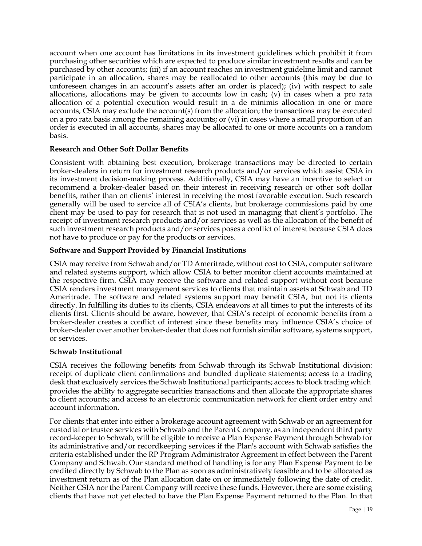account when one account has limitations in its investment guidelines which prohibit it from purchasing other securities which are expected to produce similar investment results and can be purchased by other accounts; (iii) if an account reaches an investment guideline limit and cannot participate in an allocation, shares may be reallocated to other accounts (this may be due to unforeseen changes in an account's assets after an order is placed); (iv) with respect to sale allocations, allocations may be given to accounts low in cash; (v) in cases when a pro rata allocation of a potential execution would result in a de minimis allocation in one or more accounts, CSIA may exclude the account(s) from the allocation; the transactions may be executed on a pro rata basis among the remaining accounts; or (vi) in cases where a small proportion of an order is executed in all accounts, shares may be allocated to one or more accounts on a random basis.

#### **Research and Other Soft Dollar Benefits**

Consistent with obtaining best execution, brokerage transactions may be directed to certain broker-dealers in return for investment research products and/or services which assist CSIA in its investment decision-making process. Additionally, CSIA may have an incentive to select or recommend a broker-dealer based on their interest in receiving research or other soft dollar benefits, rather than on clients' interest in receiving the most favorable execution. Such research generally will be used to service all of CSIA's clients, but brokerage commissions paid by one client may be used to pay for research that is not used in managing that client's portfolio. The receipt of investment research products and/or services as well as the allocation of the benefit of such investment research products and/or services poses a conflict of interest because CSIA does not have to produce or pay for the products or services.

#### **Software and Support Provided by Financial Institutions**

CSIA may receive from Schwab and/or TD Ameritrade, without cost to CSIA, computer software and related systems support, which allow CSIA to better monitor client accounts maintained at the respective firm. CSIA may receive the software and related support without cost because CSIA renders investment management services to clients that maintain assets at Schwab and TD Ameritrade. The software and related systems support may benefit CSIA, but not its clients directly. In fulfilling its duties to its clients, CSIA endeavors at all times to put the interests of its clients first. Clients should be aware, however, that CSIA's receipt of economic benefits from a broker-dealer creates a conflict of interest since these benefits may influence CSIA's choice of broker-dealer over another broker-dealer that does not furnish similar software, systems support, or services.

#### **Schwab Institutional**

CSIA receives the following benefits from Schwab through its Schwab Institutional division: receipt of duplicate client confirmations and bundled duplicate statements; access to a trading desk that exclusively services the Schwab Institutional participants; access to block trading which provides the ability to aggregate securities transactions and then allocate the appropriate shares to client accounts; and access to an electronic communication network for client order entry and account information.

For clients that enter into either a brokerage account agreement with Schwab or an agreement for custodial or trustee services with Schwab and the Parent Company, as an independent third party record-keeper to Schwab, will be eligible to receive a Plan Expense Payment through Schwab for its administrative and/or recordkeeping services if the Plan's account with Schwab satisfies the criteria established under the RP Program Administrator Agreement in effect between the Parent Company and Schwab. Our standard method of handling is for any Plan Expense Payment to be credited directly by Schwab to the Plan as soon as administratively feasible and to be allocated as investment return as of the Plan allocation date on or immediately following the date of credit. Neither CSIA nor the Parent Company will receive these funds. However, there are some existing clients that have not yet elected to have the Plan Expense Payment returned to the Plan. In that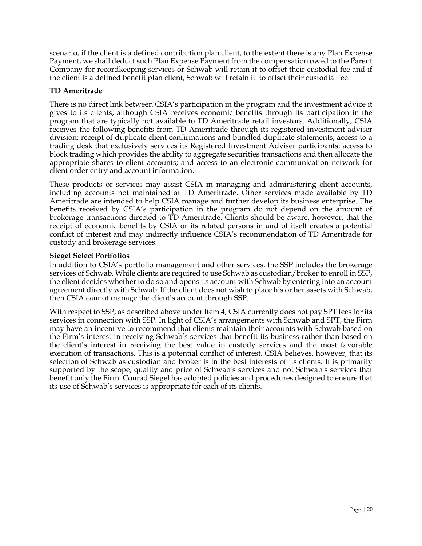scenario, if the client is a defined contribution plan client, to the extent there is any Plan Expense Payment, we shall deduct such Plan Expense Payment from the compensation owed to the Parent Company for recordkeeping services or Schwab will retain it to offset their custodial fee and if the client is a defined benefit plan client, Schwab will retain it to offset their custodial fee.

#### **TD Ameritrade**

There is no direct link between CSIA's participation in the program and the investment advice it gives to its clients, although CSIA receives economic benefits through its participation in the program that are typically not available to TD Ameritrade retail investors. Additionally, CSIA receives the following benefits from TD Ameritrade through its registered investment adviser division: receipt of duplicate client confirmations and bundled duplicate statements; access to a trading desk that exclusively services its Registered Investment Adviser participants; access to block trading which provides the ability to aggregate securities transactions and then allocate the appropriate shares to client accounts; and access to an electronic communication network for client order entry and account information.

These products or services may assist CSIA in managing and administering client accounts, including accounts not maintained at TD Ameritrade. Other services made available by TD Ameritrade are intended to help CSIA manage and further develop its business enterprise. The benefits received by CSIA's participation in the program do not depend on the amount of brokerage transactions directed to TD Ameritrade. Clients should be aware, however, that the receipt of economic benefits by CSIA or its related persons in and of itself creates a potential conflict of interest and may indirectly influence CSIA's recommendation of TD Ameritrade for custody and brokerage services.

#### **Siegel Select Portfolios**

In addition to CSIA's portfolio management and other services, the SSP includes the brokerage services of Schwab. While clients are required to use Schwab as custodian/broker to enroll in SSP, the client decides whether to do so and opens its account with Schwab by entering into an account agreement directly with Schwab. If the client does not wish to place his or her assets with Schwab, then CSIA cannot manage the client's account through SSP.

With respect to SSP, as described above under Item 4, CSIA currently does not pay SPT fees for its services in connection with SSP. In light of CSIA's arrangements with Schwab and SPT, the Firm may have an incentive to recommend that clients maintain their accounts with Schwab based on the Firm's interest in receiving Schwab's services that benefit its business rather than based on the client's interest in receiving the best value in custody services and the most favorable execution of transactions. This is a potential conflict of interest. CSIA believes, however, that its selection of Schwab as custodian and broker is in the best interests of its clients. It is primarily supported by the scope, quality and price of Schwab's services and not Schwab's services that benefit only the Firm. Conrad Siegel has adopted policies and procedures designed to ensure that its use of Schwab's services is appropriate for each of its clients.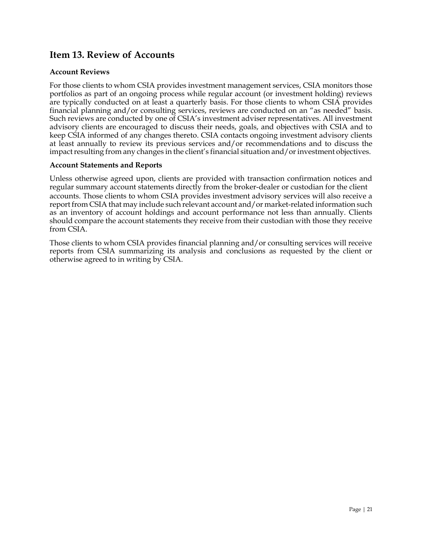### **Item 13. Review of Accounts**

#### **Account Reviews**

For those clients to whom CSIA provides investment management services, CSIA monitors those portfolios as part of an ongoing process while regular account (or investment holding) reviews are typically conducted on at least a quarterly basis. For those clients to whom CSIA provides financial planning and/or consulting services, reviews are conducted on an "as needed" basis. Such reviews are conducted by one of CSIA's investment adviser representatives. All investment advisory clients are encouraged to discuss their needs, goals, and objectives with CSIA and to keep CSIA informed of any changes thereto. CSIA contacts ongoing investment advisory clients at least annually to review its previous services and/or recommendations and to discuss the impact resulting from any changes in the client's financial situation and/or investment objectives.

#### **Account Statements and Reports**

Unless otherwise agreed upon, clients are provided with transaction confirmation notices and regular summary account statements directly from the broker-dealer or custodian for the client accounts. Those clients to whom CSIA provides investment advisory services will also receive a report from CSIA that may include such relevant account and/or market-related information such as an inventory of account holdings and account performance not less than annually. Clients should compare the account statements they receive from their custodian with those they receive from CSIA.

Those clients to whom CSIA provides financial planning and/or consulting services will receive reports from CSIA summarizing its analysis and conclusions as requested by the client or otherwise agreed to in writing by CSIA.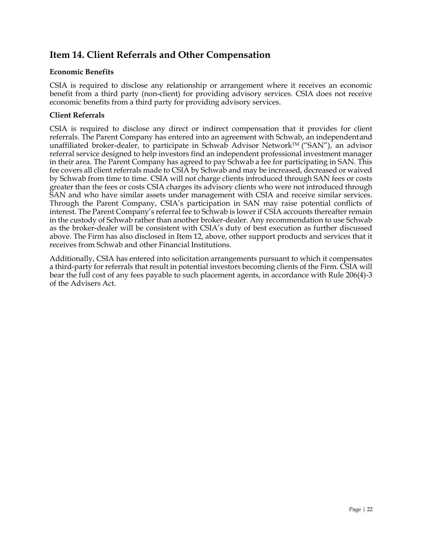### **Item 14. Client Referrals and Other Compensation**

#### **Economic Benefits**

CSIA is required to disclose any relationship or arrangement where it receives an economic benefit from a third party (non-client) for providing advisory services. CSIA does not receive economic benefits from a third party for providing advisory services.

#### **Client Referrals**

CSIA is required to disclose any direct or indirect compensation that it provides for client referrals. The Parent Company has entered into an agreement with Schwab, an independent and unaffiliated broker-dealer, to participate in Schwab Advisor Network<sup>TM</sup> ("SAN"), an advisor referral service designed to help investors find an independent professional investment manager in their area. The Parent Company has agreed to pay Schwab a fee for participating in SAN. This fee covers all client referrals made to CSIA by Schwab and may be increased, decreased or waived by Schwab from time to time. CSIA will not charge clients introduced through SAN fees or costs greater than the fees or costs CSIA charges its advisory clients who were not introduced through SAN and who have similar assets under management with CSIA and receive similar services. Through the Parent Company, CSIA's participation in SAN may raise potential conflicts of interest. The Parent Company's referral fee to Schwab is lower if CSIA accounts thereafter remain in the custody of Schwab rather than another broker-dealer. Any recommendation to use Schwab as the broker-dealer will be consistent with CSIA's duty of best execution as further discussed above. The Firm has also disclosed in Item 12, above, other support products and services that it receives from Schwab and other Financial Institutions.

Additionally, CSIA has entered into solicitation arrangements pursuant to which it compensates a third-party for referrals that result in potential investors becoming clients of the Firm. CSIA will bear the full cost of any fees payable to such placement agents, in accordance with Rule 206(4)-3 of the Advisers Act.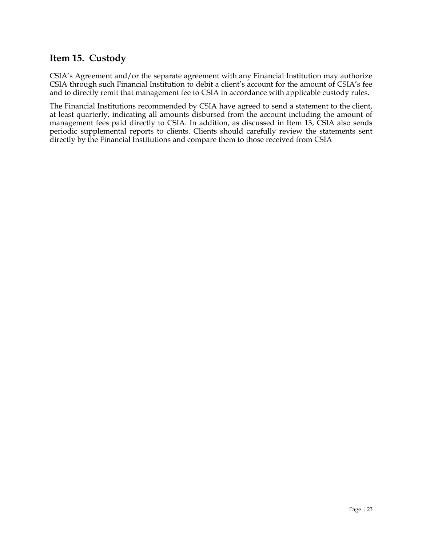### **Item 15. Custody**

CSIA's Agreement and/or the separate agreement with any Financial Institution may authorize CSIA through such Financial Institution to debit a client's account for the amount of CSIA's fee and to directly remit that management fee to CSIA in accordance with applicable custody rules.

The Financial Institutions recommended by CSIA have agreed to send a statement to the client, at least quarterly, indicating all amounts disbursed from the account including the amount of management fees paid directly to CSIA. In addition, as discussed in Item 13, CSIA also sends periodic supplemental reports to clients. Clients should carefully review the statements sent directly by the Financial Institutions and compare them to those received from CSIA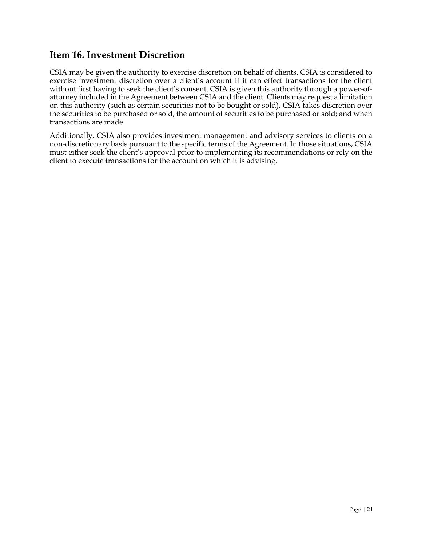### **Item 16. Investment Discretion**

CSIA may be given the authority to exercise discretion on behalf of clients. CSIA is considered to exercise investment discretion over a client's account if it can effect transactions for the client without first having to seek the client's consent. CSIA is given this authority through a power-ofattorney included in the Agreement between CSIA and the client. Clients may request a limitation on this authority (such as certain securities not to be bought or sold). CSIA takes discretion over the securities to be purchased or sold, the amount of securities to be purchased or sold; and when transactions are made.

Additionally, CSIA also provides investment management and advisory services to clients on a non-discretionary basis pursuant to the specific terms of the Agreement. In those situations, CSIA must either seek the client's approval prior to implementing its recommendations or rely on the client to execute transactions for the account on which it is advising.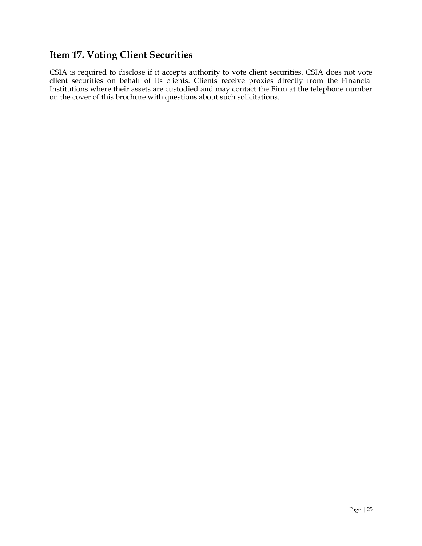# **Item 17. Voting Client Securities**

CSIA is required to disclose if it accepts authority to vote client securities. CSIA does not vote client securities on behalf of its clients. Clients receive proxies directly from the Financial Institutions where their assets are custodied and may contact the Firm at the telephone number on the cover of this brochure with questions about such solicitations.